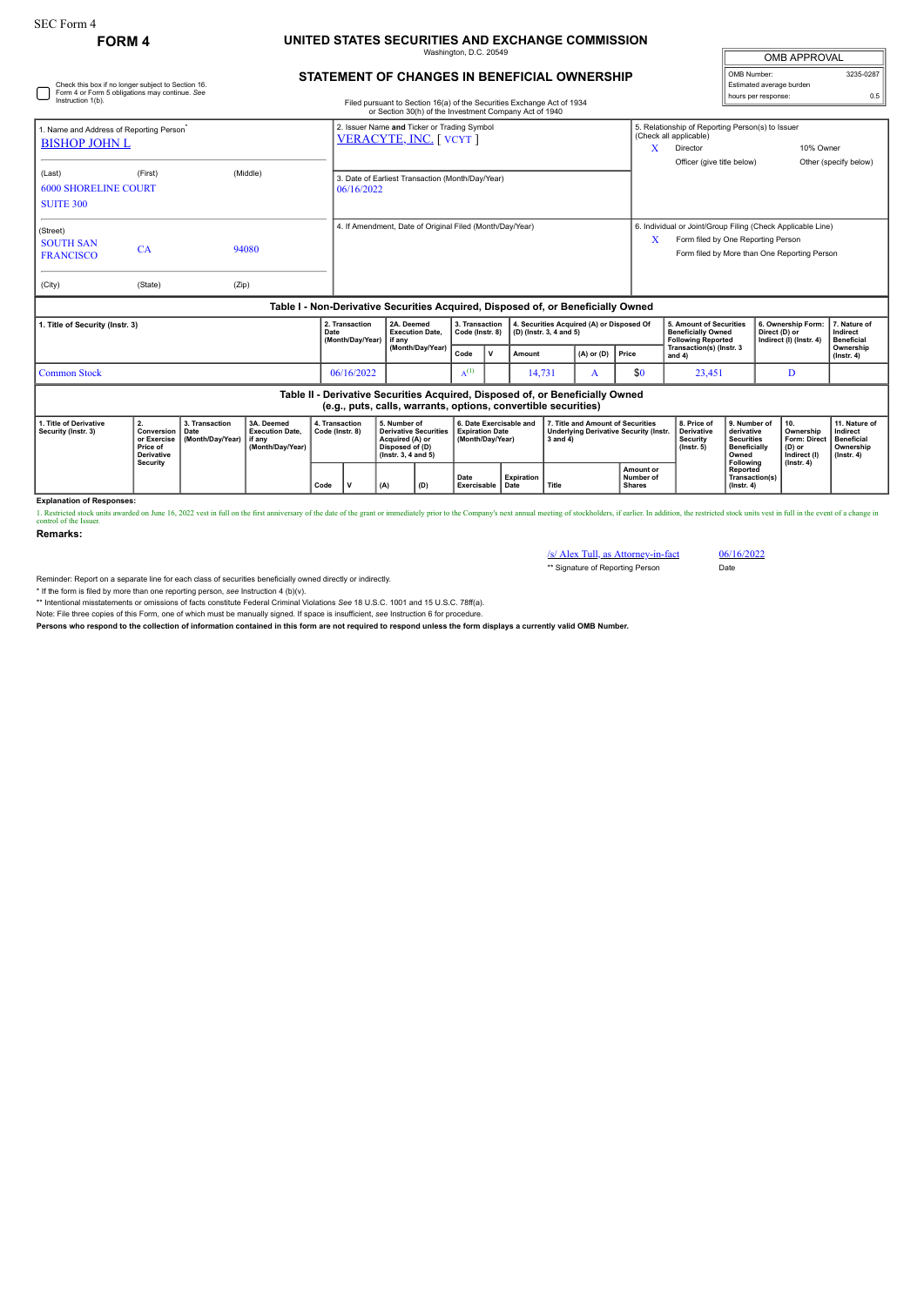## **FORM 4 UNITED STATES SECURITIES AND EXCHANGE COMMISSION**

Washington, D.C. 205

| Check this box if no longer subject to Section 16.                           | <b>STATEMENT OF CHANGES IN BENEFICIAL OWNERSHIP</b> |                                                  |                                                          |                                                                                                                                                 |      |                                                                      |        |                |                                                                                   | OMB Number:<br>3235-0287<br>Estimated average burden                                                                                                   |                                                                |                                               |                               |  |
|------------------------------------------------------------------------------|-----------------------------------------------------|--------------------------------------------------|----------------------------------------------------------|-------------------------------------------------------------------------------------------------------------------------------------------------|------|----------------------------------------------------------------------|--------|----------------|-----------------------------------------------------------------------------------|--------------------------------------------------------------------------------------------------------------------------------------------------------|----------------------------------------------------------------|-----------------------------------------------|-------------------------------|--|
| Form 4 or Form 5 obligations may continue. See<br>Instruction 1(b).          |                                                     |                                                  |                                                          | Filed pursuant to Section 16(a) of the Securities Exchange Act of 1934<br>or Section 30(h) of the Investment Company Act of 1940                |      |                                                                      |        |                |                                                                                   |                                                                                                                                                        |                                                                | hours per response:                           | 0.5                           |  |
| 1. Name and Address of Reporting Person <sup>®</sup><br><b>BISHOP JOHN L</b> |                                                     |                                                  |                                                          | 2. Issuer Name and Ticker or Trading Symbol<br>VERACYTE, INC. [ VCYT ]                                                                          |      |                                                                      |        |                |                                                                                   |                                                                                                                                                        | 5. Relationship of Reporting Person(s) to Issuer<br>10% Owner  |                                               |                               |  |
| (Last)<br><b>6000 SHORELINE COURT</b><br><b>SUITE 300</b>                    | 06/16/2022                                          | 3. Date of Earliest Transaction (Month/Day/Year) |                                                          |                                                                                                                                                 |      |                                                                      |        |                | Officer (give title below)                                                        |                                                                                                                                                        | Other (specify below)                                          |                                               |                               |  |
| (Street)<br><b>SOUTH SAN</b><br><b>FRANCISCO</b>                             | CA                                                  |                                                  | 4. If Amendment, Date of Original Filed (Month/Day/Year) |                                                                                                                                                 |      |                                                                      |        |                |                                                                                   | 6. Individual or Joint/Group Filing (Check Applicable Line)<br>x<br>Form filed by One Reporting Person<br>Form filed by More than One Reporting Person |                                                                |                                               |                               |  |
| (City)                                                                       | (State)                                             | (Zip)                                            |                                                          |                                                                                                                                                 |      |                                                                      |        |                |                                                                                   |                                                                                                                                                        |                                                                |                                               |                               |  |
|                                                                              |                                                     |                                                  |                                                          | Table I - Non-Derivative Securities Acquired, Disposed of, or Beneficially Owned                                                                |      |                                                                      |        |                |                                                                                   |                                                                                                                                                        |                                                                |                                               |                               |  |
| 1. Title of Security (Instr. 3)                                              |                                                     | 2. Transaction<br>Date<br>(Month/Day/Year)       | 2A. Deemed<br><b>Execution Date.</b><br>if any           | 3. Transaction<br>Code (Instr. 8)                                                                                                               |      | 4. Securities Acquired (A) or Disposed Of<br>(D) (Instr. 3, 4 and 5) |        |                | 5. Amount of Securities<br><b>Beneficially Owned</b><br><b>Following Reported</b> |                                                                                                                                                        | 6. Ownership Form:<br>Direct (D) or<br>Indirect (I) (Instr. 4) | 7. Nature of<br>Indirect<br><b>Beneficial</b> |                               |  |
|                                                                              |                                                     |                                                  |                                                          | (Month/Day/Year)                                                                                                                                | Code | $\mathbf v$                                                          | Amount | $(A)$ or $(D)$ | Price                                                                             | Transaction(s) (Instr. 3<br>and $4)$                                                                                                                   |                                                                |                                               | Ownership<br>$($ lnstr. 4 $)$ |  |
| <b>Common Stock</b>                                                          |                                                     | 06/16/2022                                       |                                                          | $A^{(1)}$                                                                                                                                       |      | 14,731                                                               | A      | \$0            | 23,451                                                                            |                                                                                                                                                        | D                                                              |                                               |                               |  |
|                                                                              |                                                     |                                                  |                                                          | Table II - Derivative Securities Acquired, Disposed of, or Beneficially Owned<br>(e.g., puts, calls, warrants, options, convertible securities) |      |                                                                      |        |                |                                                                                   |                                                                                                                                                        |                                                                |                                               |                               |  |

|  | 1. Title of Derivative<br>Security (Instr. 3) | <b>' Conversion ∣ Date</b><br>Price of<br>Derivative<br>Security | 3. Transaction<br>or Exercise   (Month/Dav/Year)   if any | 3A. Deemed<br><b>Execution Date.</b><br>  (Month/Dav/Year) | 4. Transaction<br>Code (Instr. 8) |  | 5. Number of<br>Derivative Securities<br>Acquired (A) or<br>Disposed of (D)<br>$($ lnstr. 3. 4 and 5 $)$ |     | 6. Date Exercisable and<br><b>Expiration Date</b><br>Month/Dav/Year) |            | 7. Title and Amount of Securities<br>Underlying Derivative Security (Instr.<br>3 and 4 |                                         | 8. Price of<br>Derivative<br>Security<br>$($ lnstr. 5 $)$ | 9. Number of<br>derivative<br><b>Securities</b><br><b>Beneficially</b><br>Owned | <b>110.</b><br>Ownership<br><b>Form: Direct</b><br>(D) or<br>Indirect (I) | 11. Nature of<br>Indirect<br><b>Beneficial</b><br>Ownership<br>$($ lnstr. 4 $)$ |
|--|-----------------------------------------------|------------------------------------------------------------------|-----------------------------------------------------------|------------------------------------------------------------|-----------------------------------|--|----------------------------------------------------------------------------------------------------------|-----|----------------------------------------------------------------------|------------|----------------------------------------------------------------------------------------|-----------------------------------------|-----------------------------------------------------------|---------------------------------------------------------------------------------|---------------------------------------------------------------------------|---------------------------------------------------------------------------------|
|  |                                               |                                                                  |                                                           |                                                            | Code                              |  | (A)                                                                                                      | (D) | Date<br>Exercisable   Date                                           | Expiration | <b>Title</b>                                                                           | Amount or<br>Number of<br><b>Shares</b> |                                                           | Following<br>Reported<br>Transaction(s)<br>$($ lnstr. 4 $)$                     | $($ lnstr. 4 $)$                                                          |                                                                                 |

**Explanation of Responses:**

1. Restricted stock units awarded on June 16, 2022 vest in full on the first anniversary of the date of the grant or immediately prior to the Company's next annual meeting of stockholders, if earlier. In addition, the rest

**Remarks:**

/s/ Alex Tull, as Attorney-in-fact 06/16/2022 \*\* Signature of Reporting Person Date

OMB APPROVAL

Reminder: Report on a separate line for each class of securities beneficially owned directly or indirectly.

\* If the form is filed by more than one reporting person, *see* Instruction 4 (b)(v).

\*\* Intentional misstatements or omissions of facts constitute Federal Criminal Violations *See* 18 U.S.C. 1001 and 15 U.S.C. 78ff(a). Note: File three copies of this Form, one of which must be manually signed. If space is insufficient, *see* Instruction 6 for procedure.

**Persons who respond to the collection of information contained in this form are not required to respond unless the form displays a currently valid OMB Number.**